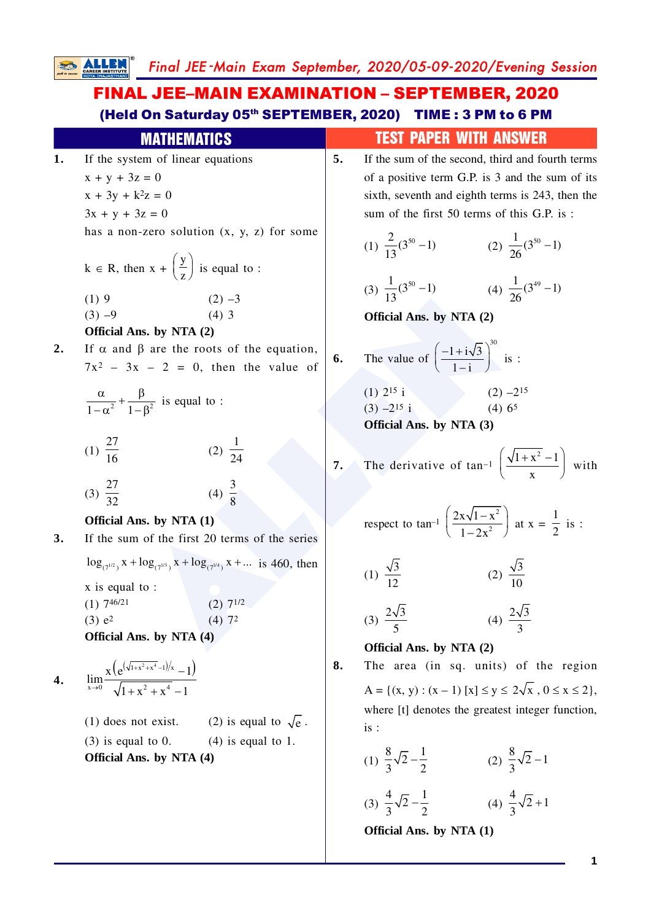Final JEE -Main Exam September, 2020/05-09-2020/Evening Session

## FINAL JEE–MAIN EXAMINATION – SEPTEMBER, 2020 (Held On Saturday 05th SEPTEMBER, 2020) TIME : 3 PM to 6 PM

|    | III A III 511 A I IVV                        |
|----|----------------------------------------------|
| 1. | If the system of linear equations            |
|    | $x + y + 3z = 0$                             |
|    | $x + 3y + k^2z = 0$                          |
|    | $3x + y + 3z = 0$                            |
|    | has a non-zero solution $(x, y, z)$ for some |

$$
k \in R
$$
, then  $x + \left(\frac{y}{z}\right)$  is equal to :

(1) 9 (2) –3

- $(3) -9$  (4) 3 **Official Ans. by NTA (2)**
- 2. If  $\alpha$  and  $\beta$  are the roots of the equation,  $7x^2$  –  $3x$  – 2 = 0, then the value of

$$
\frac{\alpha}{1-\alpha^2} + \frac{\beta}{1-\beta^2}
$$
 is equal to :

$$
(1) \frac{27}{16} \qquad (2) \frac{1}{24}
$$

$$
(3) \frac{27}{32} \qquad \qquad (4) \frac{3}{8}
$$

## **Official Ans. by NTA (1)**

**3.** If the sum of the first 20 terms of the series  $\log_{(7^{1/2})} x + \log_{(7^{1/3})} x + \log_{(7^{1/4})} x + ...$  is 460, then

> x is equal to : (1)  $7^{46/21}$  (2)  $7^{1/2}$  $(3) e<sup>2</sup>$ 2 (4)  $7^2$

**Official Ans. by NTA (4)**

4. 
$$
\lim_{x\to 0}\frac{x\left(e^{(\sqrt{1+x^2+x^4}-1)/x}-1\right)}{\sqrt{1+x^2+x^4}-1}
$$

- $(1)$  does not exist.  $\overline{\overline{\overline{e}}}$  .
- (3) is equal to 0.  $(4)$  is equal to 1. **Official Ans. by NTA (4)**
- MATHEMATICS TEST PAPER WITH ANSWER
	- **5.** If the sum of the second, third and fourth terms of a positive term G.P. is 3 and the sum of its sixth, seventh and eighth terms is 243, then the sum of the first 50 terms of this G.P. is :

(1) 
$$
\frac{2}{13}(3^{50} - 1)
$$
 (2)  $\frac{1}{26}(3^{50} - 1)$ 

(3) 
$$
\frac{1}{13}(3^{50} - 1)
$$
 (4)  $\frac{1}{26}(3^{49} - 1)$ 

**Official Ans. by NTA (2)**

**6.** The value of  $\left(\frac{-1+i\sqrt{3}}{1-i}\right)^{30}$  $1 - i$ is :

(2) -3  
\n(4) 3  
\n**13** (3) 26  
\n**15 Official Ans. by NTA (2)**  
\n**16 Official Ans. by NTA (2)**  
\n
$$
x - 2 = 0
$$
, then the value of  $\left(\frac{-1 + i\sqrt{3}}{1 - i}\right)^{30}$  is :  
\n $\frac{\beta}{-\beta^2}$  is equal to :  
\n(1) 2<sup>15</sup> i  
\n(2)  $\frac{1}{24}$   
\n(3) -2<sup>15</sup> i  
\n(4)  $\frac{3}{8}$   
\n**17** The derivative of tan<sup>-1</sup>  $\left(\frac{\sqrt{1 + \beta}}{1 - 2x^2}\right)$  at :  
\n $\log_{(7^{1/3})} x + \log_{(7^{1/4})} x + ...$  is 460, then  
\nto :  
\n(2) 7<sup>1/2</sup>  
\n(3)  $\frac{2\sqrt{3}}{5}$   
\n(4) 3<sup>2</sup>  
\n(5) 26  
\n**Official Ans. by NTA (2)**  
\n(6) The value of  $\left(\frac{-1 + i\sqrt{3}}{1 - i}\right)^{30}$  is :  
\n(7) 25 i  
\n(8) -215 i  
\n(9) -215 i  
\n(1)  $\frac{\sqrt{3}}{12}$   
\n(2)  $\frac{\sqrt{3}}{10}$   
\n(3)  $\frac{2\sqrt{3}}{5}$   
\n(4)  $\frac{2\sqrt{3}}{3}$   
\n(5) 21  
\n(6) 22  
\n(7) 1/2  
\n(8)  $\frac{2\sqrt{3}}{5}$   
\n(9)  $\frac{2\sqrt{3}}{10}$   
\n(1)  $\frac{\sqrt{3}}{5}$   
\n(2)  $\frac{\sqrt{3}}{3}$   
\n(3)  $\frac{2\sqrt{3}}{5}$   
\n(4)  $\frac{2\sqrt{3}}{3}$   
\n(5) 21  
\n(6) 22  
\n(7) 23  
\n(8) 24  
\n(9) 10  
\n(1) 1

**7.** The derivative of tan–1  $\left(\frac{\sqrt{1+x^2}-1}{x}\right)^{x}$ x with

respect to 
$$
\tan^{-1} \left( \frac{2x\sqrt{1-x^2}}{1-2x^2} \right)
$$
 at  $x = \frac{1}{2}$  is :

(1) 
$$
\frac{\sqrt{3}}{12}
$$
 (2)  $\frac{\sqrt{3}}{10}$ 

$$
(3) \ \frac{2\sqrt{3}}{5} \qquad \qquad (4) \ \frac{2\sqrt{3}}{3}
$$

**Official Ans. by NTA (2)**

**8.** The area (in sq. units) of the region  $A = \{(x, y) : (x - 1) [x] \le y \le 2\sqrt{x}, 0 \le x \le 2\},\$ where [t] denotes the greatest integer function, is :

(1) 
$$
\frac{8}{3}\sqrt{2}-\frac{1}{2}
$$
 (2)  $\frac{8}{3}\sqrt{2}-1$ 

(3) 
$$
\frac{4}{3}\sqrt{2} - \frac{1}{2}
$$
 (4)  $\frac{4}{3}\sqrt{2} + 1$ 

**Official Ans. by NTA (1)**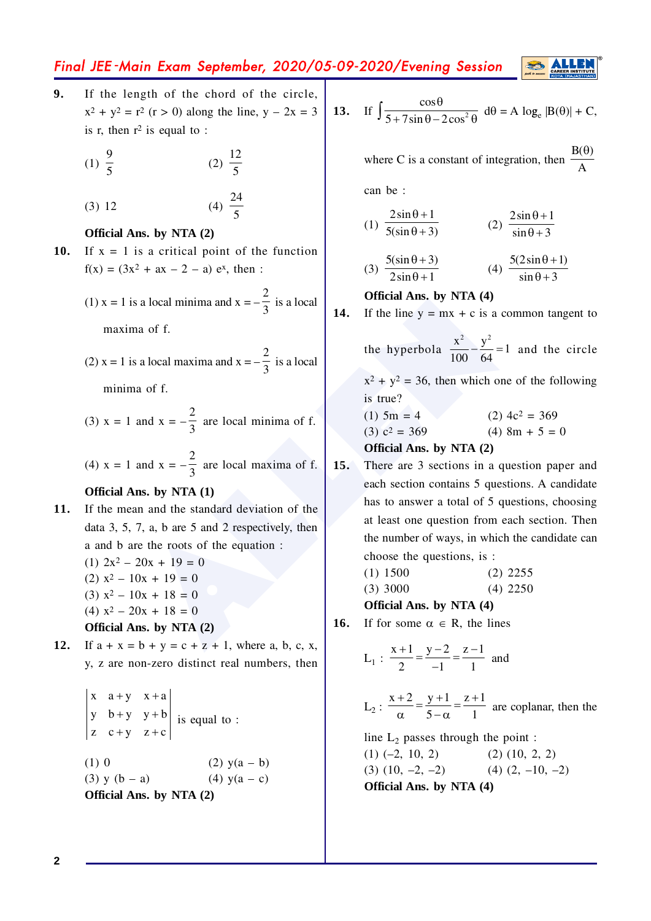# Final JEE -Main Exam September, 2020/05-09-2020/Evening Session

**9.** If the length of the chord of the circle,  $x^{2} + y^{2} = r^{2}$  (r > 0) along the line, y – 2x = 3 is r, then  $r^2$  is equal to :

(1) 
$$
\frac{9}{5}
$$
 (2)  $\frac{12}{5}$ 

$$
(3) 12 \t(4) \frac{24}{5}
$$

### **Official Ans. by NTA (2)**

**10.** If  $x = 1$  is a critical point of the function  $f(x) = (3x^2 + ax - 2 - a) e^x$ , then :

(1) 
$$
x = 1
$$
 is a local minima and  $x = -\frac{2}{3}$  is a local

maxima of f.

(2) 
$$
x = 1
$$
 is a local maxima and  $x = -\frac{2}{3}$  is a local

minima of f.

(3) 
$$
x = 1
$$
 and  $x = -\frac{2}{3}$  are local minima of f.

(4) 
$$
x = 1
$$
 and  $x = -\frac{2}{3}$  are local maxima of f.

### **Official Ans. by NTA (1)**

**11.** If the mean and the standard deviation of the data 3, 5, 7, a, b are 5 and 2 respectively, then a and b are the roots of the equation :  $(1)$   $2x^2 - 20x + 19 = 0$ 

(2) 
$$
x^2 - 10x + 19 = 0
$$
  
(3)  $x^2 - 10x + 18 = 0$   
(4)  $x^2 - 20x + 18 = 0$ 

**Official Ans. by NTA (2)**

**12.** If  $a + x = b + y = c + z + 1$ , where a, b, c, x, y, z are non-zero distinct real numbers, then

$$
\begin{vmatrix} x & a+y & x+a \\ y & b+y & y+b \\ z & c+y & z+c \end{vmatrix}
$$
 is equal to :  
(1) 0 (2) y(a - b)  
(3) y (b - a) (4) y(a - c)  
Official Ans. by NTA (2)

13. If 
$$
\int \frac{\cos \theta}{5 + 7 \sin \theta - 2 \cos^2 \theta} d\theta = A \log_e |B(\theta)| + C
$$
,

where C is a constant of integration, then  $B(\theta)$ A

can be :

 $($ 

1) 
$$
\frac{2\sin\theta + 1}{5(\sin\theta + 3)}
$$
 (2) 
$$
\frac{2\sin\theta + 1}{\sin\theta + 3}
$$

$$
(3) \frac{5(\sin \theta + 3)}{2\sin \theta + 1}
$$
\n
$$
(4) \frac{5(2\sin \theta + 1)}{\sin \theta + 3}
$$

#### **Official Ans. by NTA (4)**



the hyperbola  $\frac{x^2}{100} - \frac{y^2}{64} = 1$  $\frac{1}{100} - \frac{3}{64} = 1$  and the circle

 $x^2 + y^2 = 36$ , then which one of the following is true?

 $(1)$  5m = 4  $(2)$  4c<sup>2</sup> = 369 (3)  $c^2 = 369$  $(4)$  8m + 5 = 0

**Official Ans. by NTA (2)**

is a local minima and  $x = -\frac{2}{3}$  is a local<br>
ma of f.<br>
a local maxima and  $x = -\frac{2}{3}$  is a local<br>
and of f.<br>
and  $x = -\frac{2}{3}$  are local minima of f.<br>  $x^2 + y^2 = 36$ , then which one of<br>
is true?<br>
and  $x = -\frac{2}{3}$  are loc **15.** There are 3 sections in a question paper and each section contains 5 questions. A candidate has to answer a total of 5 questions, choosing at least one question from each section. Then the number of ways, in which the candidate can choose the questions, is :

(1) 1500 (2) 2255

$$
(3) 3000 \t(4) 2250
$$

**Official Ans. by NTA (4)**

**16.** If for some  $\alpha \in R$ , the lines

L<sub>1</sub>: 
$$
\frac{x+1}{2} = \frac{y-2}{-1} = \frac{z-1}{1}
$$
 and

L<sub>2</sub>: 
$$
\frac{x+2}{\alpha} = \frac{y+1}{5-\alpha} = \frac{z+1}{1}
$$
 are coplanar, then the

line  $L_2$  passes through the point :

 $(1)$   $(-2, 10, 2)$   $(2)$   $(10, 2, 2)$  $(3)$   $(10, -2, -2)$   $(4)$   $(2, -10, -2)$ **Official Ans. by NTA (4)**